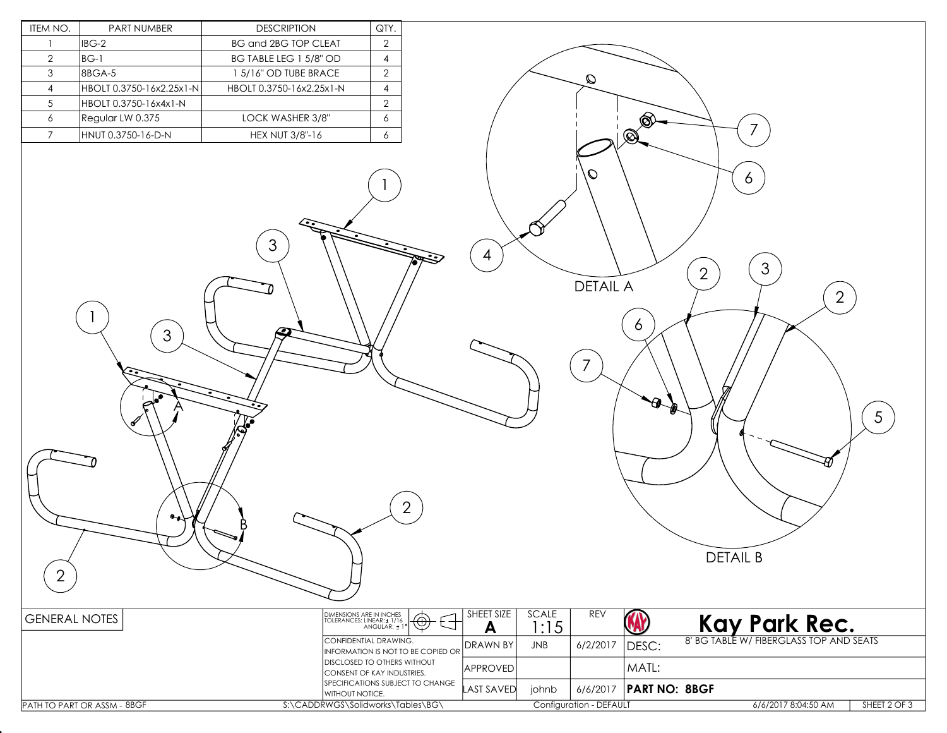| ITEM NO.             | PART NUMBER                 | <b>DESCRIPTION</b>                                   | QTY.                                                                                                                                            |                   |              |                                             |                      |                                                                                  |
|----------------------|-----------------------------|------------------------------------------------------|-------------------------------------------------------------------------------------------------------------------------------------------------|-------------------|--------------|---------------------------------------------|----------------------|----------------------------------------------------------------------------------|
| -1                   | IBG-2                       | <b>BG and 2BG TOP CLEAT</b>                          | $\overline{2}$                                                                                                                                  |                   |              |                                             |                      |                                                                                  |
| $\overline{2}$       | $BG-1$                      | BG TABLE LEG 1 5/8" OD                               | $\overline{4}$                                                                                                                                  |                   |              |                                             |                      |                                                                                  |
| $\mathbf{3}$         | 8BGA-5                      | 1 5/16" OD TUBE BRACE                                | $\overline{2}$                                                                                                                                  |                   |              | $\mathcal{Q}$                               |                      |                                                                                  |
| $\overline{4}$       | HBOLT 0.3750-16x2.25x1-N    | HBOLT 0.3750-16x2.25x1-N                             | $\overline{4}$                                                                                                                                  |                   |              |                                             |                      |                                                                                  |
| $5\phantom{.0}$      | HBOLT 0.3750-16x4x1-N       |                                                      | $\mathbf{2}$                                                                                                                                    |                   |              |                                             |                      |                                                                                  |
| 6                    | Regular LW 0.375            | LOCK WASHER 3/8"                                     | $\epsilon$                                                                                                                                      |                   |              |                                             | ▧                    |                                                                                  |
| $\overline{7}$       | HNUT 0.3750-16-D-N          | HEX NUT 3/8"-16                                      | $\epsilon$                                                                                                                                      |                   |              |                                             | $\circledR$          | 7                                                                                |
| $\overline{2}$       | 3 <sup>1</sup><br>٥.,       | $\mathfrak{S}$<br>9<br>AS                            | $\overline{2}$                                                                                                                                  | 4<br>SHEET SIZE   | <b>SCALE</b> | $\mathcal O$<br><b>DETAIL A</b><br>7<br>REV | 6<br>$\bullet$       | 6<br>3<br>$\overline{2}$<br>$\overline{2}$<br>$5\overline{)}$<br><b>DETAIL B</b> |
| <b>GENERAL NOTES</b> |                             |                                                      | DIMENSIONS ARE IN INCHES<br>TOLERANCES: LINEAR: ± 1/16<br>ANGULAR: ± 1<br>$\textcircled{\scriptsize\textcircled{\scriptsize\textcirc}}}$<br>- 1 | A                 | 1:15         |                                             | W                    | <b>Kay Park Rec.</b><br><b>8' BG TABLE W/ FIBERGLASS TOP AND SEATS</b>           |
|                      |                             |                                                      | CONFIDENTIAL DRAWING.<br>INFORMATION IS NOT TO BE COPIED OR                                                                                     | DRAWN BY          | JNB          | 6/2/2017                                    | DESC:                |                                                                                  |
|                      |                             |                                                      | <b>DISCLOSED TO OTHERS WITHOUT</b><br>CONSENT OF KAY INDUSTRIES.                                                                                | <b>APPROVED</b>   |              |                                             | MATL:                |                                                                                  |
|                      |                             |                                                      | SPECIFICATIONS SUBJECT TO CHANGE                                                                                                                | <b>LAST SAVED</b> | johnb        | 6/6/2017                                    | <b>PART NO: 8BGF</b> |                                                                                  |
|                      | PATH TO PART OR ASSM - 8BGF | WITHOUT NOTICE.<br>S:\CADDRWGS\Solidworks\Tables\BG\ |                                                                                                                                                 |                   |              | Configuration - DEFAULT                     |                      | 6/6/2017 8:04:50 AM<br>SHEET 2 OF 3                                              |